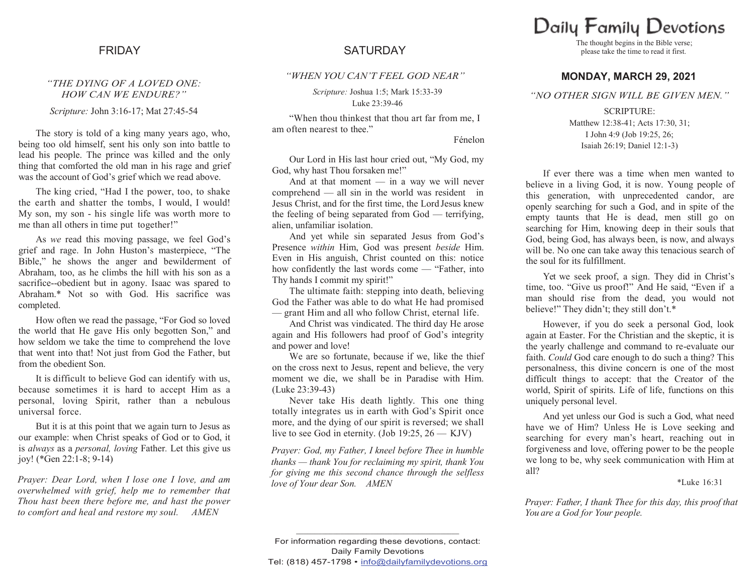### *"THE DYING OF A LOVED ONE: HOW CAN WE ENDURE?"*

*Scripture:* John 3:16-17; Mat 27:45-54

The story is told of a king many years ago, who, being too old himself, sent his only son into battle to lead his people. The prince was killed and the only thing that comforted the old man in his rage and grief was the account of God's grief which we read above.

The king cried, "Had I the power, too, to shake the earth and shatter the tombs, I would, I would! My son, my son - his single life was worth more to me than all others in time put together!"

As *we* read this moving passage, we feel God's grief and rage. In John Huston's masterpiece, "The Bible," he shows the anger and bewilderment of Abraham, too, as he climbs the hill with his son as a sacrifice--obedient but in agony. Isaac was spared to Abraham.\* Not so with God. His sacrifice was completed.

How often we read the passage, "For God so loved the world that He gave His only begotten Son," and how seldom we take the time to comprehend the love that went into that! Not just from God the Father, but from the obedient Son.

It is difficult to believe God can identify with us, because sometimes it is hard to accept Him as a personal, loving Spirit, rather than a nebulous universal force.

But it is at this point that we again turn to Jesus as our example: when Christ speaks of God or to God, it is *always* as a *personal, loving* Father*.* Let this give us joy! (\*Gen 22:1-8; 9-14)

*Prayer: Dear Lord, when I lose one I love, and am overwhelmed with grief, help me to remember that Thou hast been there before me, and hast the power to comfort and heal and restore my soul. AMEN*

# FRIDAY SATURDAY

### *"WHEN YOU CAN'T FEEL GOD NEAR"*

*Scripture:* Joshua 1:5; Mark 15:33-39 Luke 23:39-46

"When thou thinkest that thou art far from me, I am often nearest to thee."

Fénelon

Our Lord in His last hour cried out, "My God, my God, why hast Thou forsaken me!"

And at that moment — in a way we will never comprehend — all sin in the world was resident in Jesus Christ, and for the first time, the Lord Jesus knew the feeling of being separated from God — terrifying, alien, unfamiliar isolation.

And yet while sin separated Jesus from God's Presence *within* Him, God was present *beside* Him. Even in His anguish, Christ counted on this: notice how confidently the last words come — "Father, into Thy hands I commit my spirit!"

The ultimate faith: stepping into death, believing God the Father was able to do what He had promised — grant Him and all who follow Christ, eternal life.

And Christ was vindicated. The third day He arose again and His followers had proof of God's integrity and power and love!

We are so fortunate, because if we, like the thief on the cross next to Jesus, repent and believe, the very moment we die, we shall be in Paradise with Him. (Luke 23:39-43)

Never take His death lightly. This one thing totally integrates us in earth with God's Spirit once more, and the dying of our spirit is reversed; we shall live to see God in eternity. (Job 19:25,  $26 - KJV$ )

*Prayer: God, my Father, I kneel before Thee in humble thanks — thank You for reclaiming my spirit, thank You for giving me this second chance through the selfless love of Your dear Son. AMEN*

# Daily Family Devotions

The thought begins in the Bible verse; please take the time to read it first.

## **MONDAY, MARCH 29, 2021**

#### *"NO OTHER SIGN WILL BE GIVEN MEN."*

SCRIPTURE: Matthew 12:38-41: Acts 17:30, 31: I John 4:9 (Job 19:25, 26; Isaiah 26:19; Daniel 12:1-3)

If ever there was a time when men wanted to believe in a living God, it is now. Young people of this generation, with unprecedented candor, are openly searching for such a God, and in spite of the empty taunts that He is dead, men still go on searching for Him, knowing deep in their souls that God, being God, has always been, is now, and always will be. No one can take away this tenacious search of the soul for its fulfillment.

Yet we seek proof, a sign. They did in Christ's time, too. "Give us proof!" And He said, "Even if a man should rise from the dead, you would not believe!" They didn't; they still don't.\*

However, if you do seek a personal God, look again at Easter. For the Christian and the skeptic, it is the yearly challenge and command to re-evaluate our faith. *Could* God care enough to do such a thing? This personalness, this divine concern is one of the most difficult things to accept: that the Creator of the world, Spirit of spirits. Life of life, functions on this uniquely personal level.

And yet unless our God is such a God, what need have we of Him? Unless He is Love seeking and searching for every man's heart, reaching out in forgiveness and love, offering power to be the people we long to be, why seek communication with Him at all?

\*Luke 16:31

*Prayer: Father, I thank Thee for this day, this proof that You are a God for Your people.*

**\_\_\_\_\_\_\_\_\_\_\_\_\_\_\_\_\_\_\_\_\_\_\_\_\_\_\_\_\_\_\_\_\_\_\_\_\_\_\_\_\_\_\_\_**